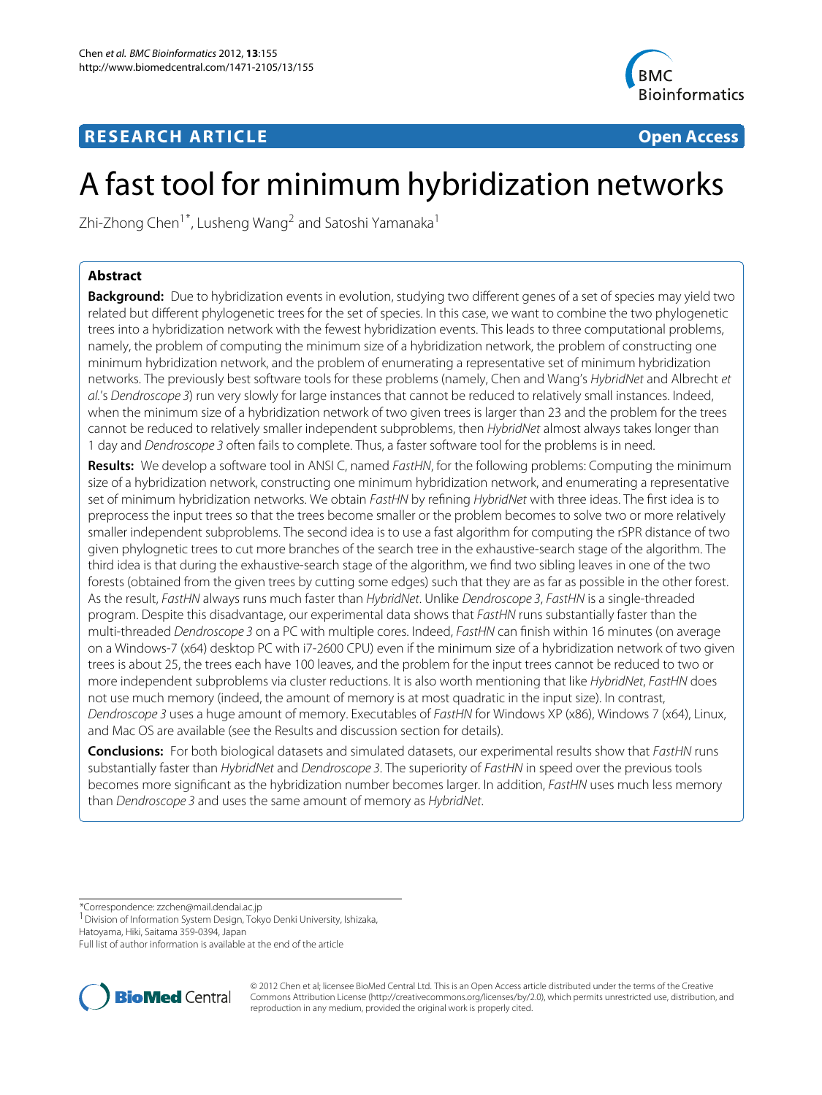## **RESEARCH ARTICLE Open Access**



# A fast tool for minimum hybridization networks

Zhi-Zhong Chen<sup>1\*</sup>, Lusheng Wang<sup>2</sup> and Satoshi Yamanaka<sup>1</sup>

## **Abstract**

**Background:** Due to hybridization events in evolution, studying two different genes of a set of species may yield two related but different phylogenetic trees for the set of species. In this case, we want to combine the two phylogenetic trees into a hybridization network with the fewest hybridization events. This leads to three computational problems, namely, the problem of computing the minimum size of a hybridization network, the problem of constructing one minimum hybridization network, and the problem of enumerating a representative set of minimum hybridization networks. The previously best software tools for these problems (namely, Chen and Wang's HybridNet and Albrecht et al.'s Dendroscope 3) run very slowly for large instances that cannot be reduced to relatively small instances. Indeed, when the minimum size of a hybridization network of two given trees is larger than 23 and the problem for the trees cannot be reduced to relatively smaller independent subproblems, then HybridNet almost always takes longer than 1 day and Dendroscope 3 often fails to complete. Thus, a faster software tool for the problems is in need.

**Results:** We develop a software tool in ANSI C, named FastHN, for the following problems: Computing the minimum size of a hybridization network, constructing one minimum hybridization network, and enumerating a representative set of minimum hybridization networks. We obtain FastHN by refining HybridNet with three ideas. The first idea is to preprocess the input trees so that the trees become smaller or the problem becomes to solve two or more relatively smaller independent subproblems. The second idea is to use a fast algorithm for computing the rSPR distance of two given phylognetic trees to cut more branches of the search tree in the exhaustive-search stage of the algorithm. The third idea is that during the exhaustive-search stage of the algorithm, we find two sibling leaves in one of the two forests (obtained from the given trees by cutting some edges) such that they are as far as possible in the other forest. As the result, FastHN always runs much faster than HybridNet. Unlike Dendroscope 3, FastHN is a single-threaded program. Despite this disadvantage, our experimental data shows that FastHN runs substantially faster than the multi-threaded Dendroscope 3 on a PC with multiple cores. Indeed, FastHN can finish within 16 minutes (on average on a Windows-7 (x64) desktop PC with i7-2600 CPU) even if the minimum size of a hybridization network of two given trees is about 25, the trees each have 100 leaves, and the problem for the input trees cannot be reduced to two or more independent subproblems via cluster reductions. It is also worth mentioning that like HybridNet, FastHN does not use much memory (indeed, the amount of memory is at most quadratic in the input size). In contrast, Dendroscope 3 uses a huge amount of memory. Executables of FastHN for Windows XP (x86), Windows 7 (x64), Linux, and Mac OS are available (see the [Results and discussion](#page-1-0) section for details).

**Conclusions:** For both biological datasets and simulated datasets, our experimental results show that FastHN runs substantially faster than HybridNet and Dendroscope 3. The superiority of FastHN in speed over the previous tools becomes more significant as the hybridization number becomes larger. In addition, FastHN uses much less memory than Dendroscope 3 and uses the same amount of memory as HybridNet.

\*Correspondence: zzchen@mail.dendai.ac.jp

1Division of Information System Design, Tokyo Denki University, Ishizaka,

Hatoyama, Hiki, Saitama 359-0394, Japan

Full list of author information is available at the end of the article



© 2012 Chen et al; licensee BioMed Central Ltd. This is an Open Access article distributed under the terms of the Creative Commons Attribution License (http://creativecommons.org/licenses/by/2.0), which permits unrestricted use, distribution, and reproduction in any medium, provided the original work is properly cited.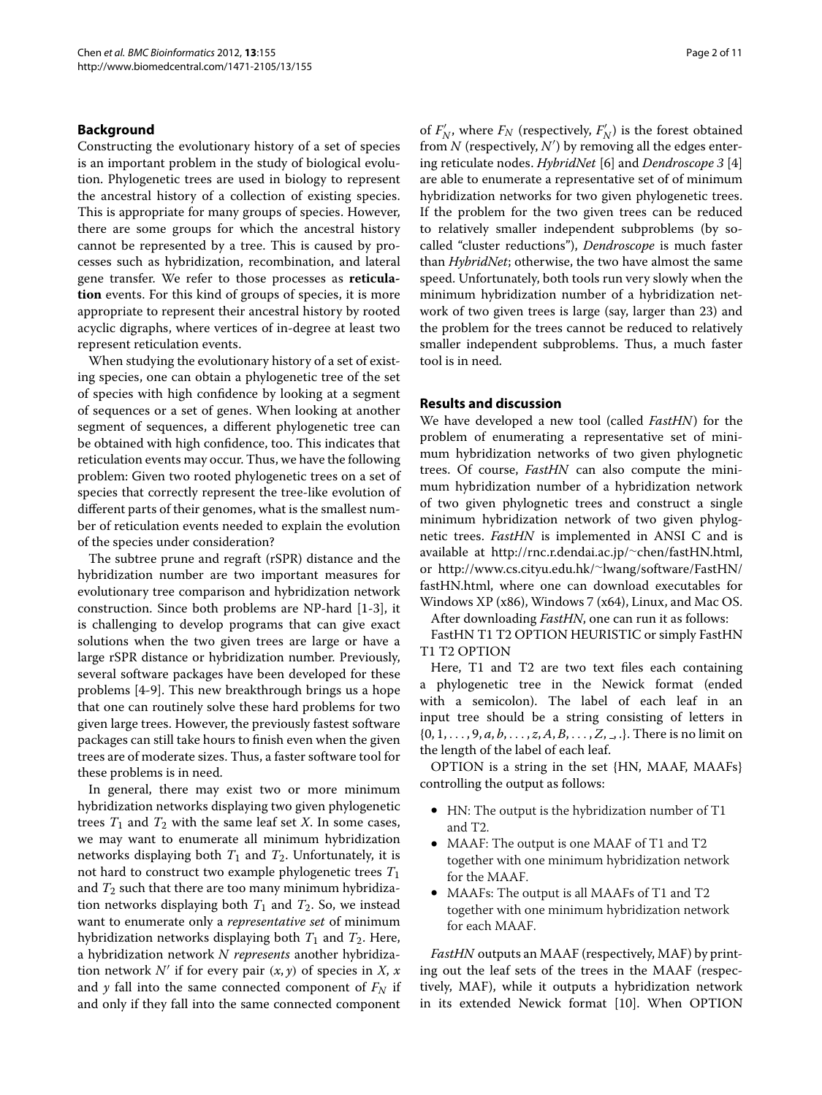#### **Background**

Constructing the evolutionary history of a set of species is an important problem in the study of biological evolution. Phylogenetic trees are used in biology to represent the ancestral history of a collection of existing species. This is appropriate for many groups of species. However, there are some groups for which the ancestral history cannot be represented by a tree. This is caused by processes such as hybridization, recombination, and lateral gene transfer. We refer to those processes as **reticulation** events. For this kind of groups of species, it is more appropriate to represent their ancestral history by rooted acyclic digraphs, where vertices of in-degree at least two represent reticulation events.

When studying the evolutionary history of a set of existing species, one can obtain a phylogenetic tree of the set of species with high confidence by looking at a segment of sequences or a set of genes. When looking at another segment of sequences, a different phylogenetic tree can be obtained with high confidence, too. This indicates that reticulation events may occur. Thus, we have the following problem: Given two rooted phylogenetic trees on a set of species that correctly represent the tree-like evolution of different parts of their genomes, what is the smallest number of reticulation events needed to explain the evolution of the species under consideration?

The subtree prune and regraft (rSPR) distance and the hybridization number are two important measures for evolutionary tree comparison and hybridization network construction. Since both problems are NP-hard [\[1-](#page-9-0)[3\]](#page-9-1), it is challenging to develop programs that can give exact solutions when the two given trees are large or have a large rSPR distance or hybridization number. Previously, several software packages have been developed for these problems [\[4](#page-9-2)[-9\]](#page-10-0). This new breakthrough brings us a hope that one can routinely solve these hard problems for two given large trees. However, the previously fastest software packages can still take hours to finish even when the given trees are of moderate sizes. Thus, a faster software tool for these problems is in need.

In general, there may exist two or more minimum hybridization networks displaying two given phylogenetic trees  $T_1$  and  $T_2$  with the same leaf set  $X$ . In some cases, we may want to enumerate all minimum hybridization networks displaying both  $T_1$  and  $T_2$ . Unfortunately, it is not hard to construct two example phylogenetic trees *T*<sup>1</sup> and  $T_2$  such that there are too many minimum hybridization networks displaying both  $T_1$  and  $T_2$ . So, we instead want to enumerate only a *representative set* of minimum hybridization networks displaying both  $T_1$  and  $T_2$ . Here, a hybridization network *N represents* another hybridization network  $N'$  if for every pair  $(x, y)$  of species in  $X$ ,  $x$ and  $\gamma$  fall into the same connected component of  $F_N$  if and only if they fall into the same connected component

of  $F'_N$ , where  $F_N$  (respectively,  $F'_N$ ) is the forest obtained from  $N$  (respectively,  $N^\prime$ ) by removing all the edges entering reticulate nodes. *HybridNet* [\[6\]](#page-9-3) and *Dendroscope 3* [\[4\]](#page-9-2) are able to enumerate a representative set of of minimum hybridization networks for two given phylogenetic trees. If the problem for the two given trees can be reduced to relatively smaller independent subproblems (by socalled "cluster reductions"), *Dendroscope* is much faster than *HybridNet*; otherwise, the two have almost the same speed. Unfortunately, both tools run very slowly when the minimum hybridization number of a hybridization network of two given trees is large (say, larger than 23) and the problem for the trees cannot be reduced to relatively smaller independent subproblems. Thus, a much faster tool is in need.

#### <span id="page-1-0"></span>**Results and discussion**

We have developed a new tool (called *FastHN*) for the problem of enumerating a representative set of minimum hybridization networks of two given phylognetic trees. Of course, *FastHN* can also compute the minimum hybridization number of a hybridization network of two given phylognetic trees and construct a single minimum hybridization network of two given phylognetic trees. *FastHN* is implemented in ANSI C and is available at [http://rnc.r.dendai.ac.jp/](http://rnc.r.dendai.ac.jp/~chen/fastHN.html)∼chen/fastHN.html, or [http://www.cs.cityu.edu.hk/](http://www.cs.cityu.edu.hk/~lwang/software/FastHN/fastHN.html)∼lwang/software/FastHN/ [fastHN.html,](http://www.cs.cityu.edu.hk/~lwang/software/FastHN/fastHN.html) where one can download executables for Windows XP (x86), Windows 7 (x64), Linux, and Mac OS.

After downloading *FastHN*, one can run it as follows:

FastHN T1 T2 OPTION HEURISTIC or simply FastHN T1 T2 OPTION

Here, T1 and T2 are two text files each containing a phylogenetic tree in the Newick format (ended with a semicolon). The label of each leaf in an input tree should be a string consisting of letters in {0, 1, *...* , 9, *a*, *b*, *...* , *z*,*A*, *B*, *...* , *Z*, , .}. There is no limit on the length of the label of each leaf.

OPTION is a string in the set {HN, MAAF, MAAFs} controlling the output as follows:

- HN: The output is the hybridization number of T1 and T2.
- MAAF: The output is one MAAF of T1 and T2 together with one minimum hybridization network for the MAAF.
- MAAFs: The output is all MAAFs of T1 and T2 together with one minimum hybridization network for each MAAF.

*FastHN* outputs an MAAF (respectively, MAF) by printing out the leaf sets of the trees in the MAAF (respectively, MAF), while it outputs a hybridization network in its extended Newick format [\[10\]](#page-10-1). When OPTION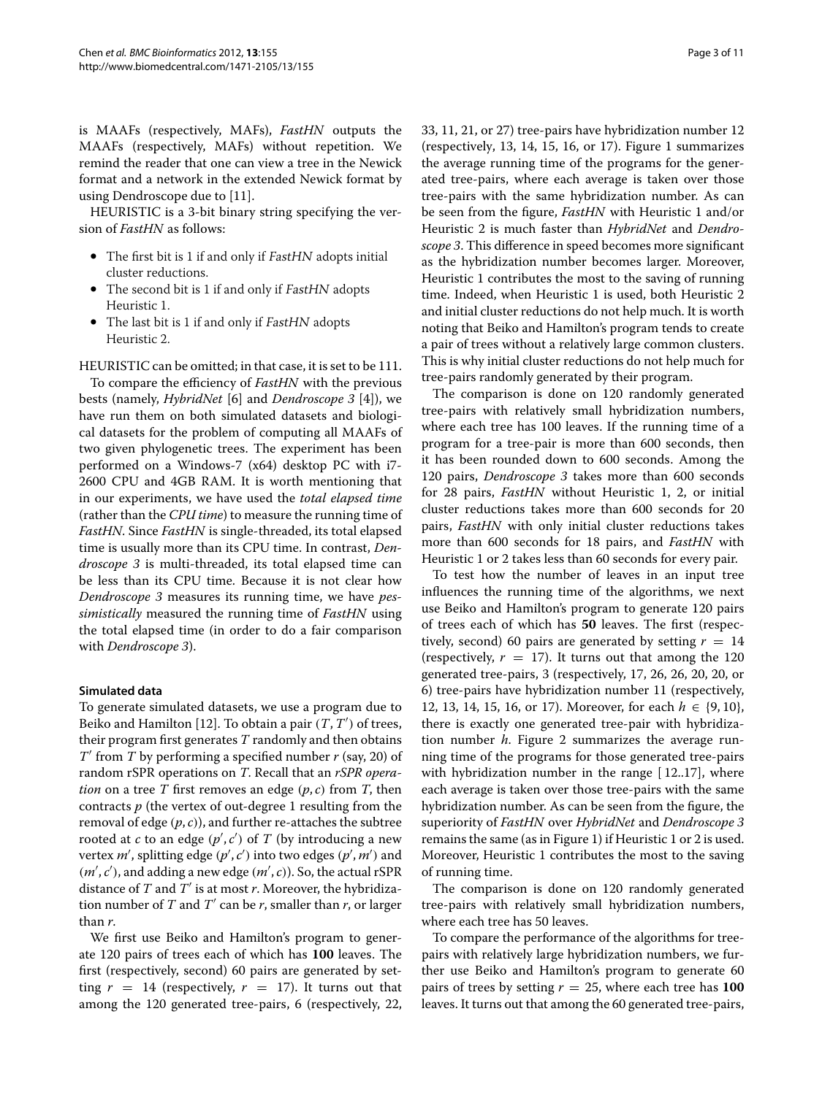is MAAFs (respectively, MAFs), *FastHN* outputs the MAAFs (respectively, MAFs) without repetition. We remind the reader that one can view a tree in the Newick format and a network in the extended Newick format by using Dendroscope due to [\[11\]](#page-10-2).

HEURISTIC is a 3-bit binary string specifying the version of *FastHN* as follows:

- The first bit is 1 if and only if FastHN adopts initial cluster reductions.
- The second bit is 1 if and only if FastHN adopts Heuristic 1.
- The last bit is 1 if and only if *FastHN* adopts Heuristic 2.

HEURISTIC can be omitted; in that case, it is set to be 111.

To compare the efficiency of *FastHN* with the previous bests (namely, *HybridNet* [\[6\]](#page-9-3) and *Dendroscope 3* [\[4\]](#page-9-2)), we have run them on both simulated datasets and biological datasets for the problem of computing all MAAFs of two given phylogenetic trees. The experiment has been performed on a Windows-7 (x64) desktop PC with i7- 2600 CPU and 4GB RAM. It is worth mentioning that in our experiments, we have used the *total elapsed time* (rather than the *CPU time*) to measure the running time of *FastHN*. Since *FastHN* is single-threaded, its total elapsed time is usually more than its CPU time. In contrast, *Dendroscope 3* is multi-threaded, its total elapsed time can be less than its CPU time. Because it is not clear how *Dendroscope 3* measures its running time, we have *pessimistically* measured the running time of *FastHN* using the total elapsed time (in order to do a fair comparison with *Dendroscope 3*).

#### **Simulated data**

To generate simulated datasets, we use a program due to Beiko and Hamilton [\[12\]](#page-10-3). To obtain a pair  $(T, T')$  of trees, their program first generates *T* randomly and then obtains *T*- from *T* by performing a specified number *r* (say, 20) of random rSPR operations on *T*. Recall that an *rSPR operation* on a tree *T* first removes an edge  $(p, c)$  from *T*, then contracts *p* (the vertex of out-degree 1 resulting from the removal of edge *(p*, *c)*), and further re-attaches the subtree rooted at  $c$  to an edge  $(p', c')$  of  $T$  (by introducing a new vertex  $m'$ , splitting edge  $(p',c')$  into two edges  $(p',m')$  and  $(m', c')$ , and adding a new edge  $(m', c)$ ). So, the actual rSPR distance of  $T$  and  $T'$  is at most  $r$ . Moreover, the hybridization number of  $T$  and  $T'$  can be  $r$ , smaller than  $r$ , or larger than *r*.

We first use Beiko and Hamilton's program to generate 120 pairs of trees each of which has **100** leaves. The first (respectively, second) 60 pairs are generated by setting  $r = 14$  (respectively,  $r = 17$ ). It turns out that among the 120 generated tree-pairs, 6 (respectively, 22, 33, 11, 21, or 27) tree-pairs have hybridization number 12 (respectively, 13, 14, 15, 16, or 17). Figure [1](#page-3-0) summarizes the average running time of the programs for the generated tree-pairs, where each average is taken over those tree-pairs with the same hybridization number. As can be seen from the figure, *FastHN* with Heuristic 1 and/or Heuristic 2 is much faster than *HybridNet* and *Dendroscope 3*. This difference in speed becomes more significant as the hybridization number becomes larger. Moreover, Heuristic 1 contributes the most to the saving of running time. Indeed, when Heuristic 1 is used, both Heuristic 2 and initial cluster reductions do not help much. It is worth noting that Beiko and Hamilton's program tends to create a pair of trees without a relatively large common clusters. This is why initial cluster reductions do not help much for tree-pairs randomly generated by their program.

The comparison is done on 120 randomly generated tree-pairs with relatively small hybridization numbers, where each tree has 100 leaves. If the running time of a program for a tree-pair is more than 600 seconds, then it has been rounded down to 600 seconds. Among the 120 pairs, *Dendroscope 3* takes more than 600 seconds for 28 pairs, *FastHN* without Heuristic 1, 2, or initial cluster reductions takes more than 600 seconds for 20 pairs, *FastHN* with only initial cluster reductions takes more than 600 seconds for 18 pairs, and *FastHN* with Heuristic 1 or 2 takes less than 60 seconds for every pair.

To test how the number of leaves in an input tree influences the running time of the algorithms, we next use Beiko and Hamilton's program to generate 120 pairs of trees each of which has **50** leaves. The first (respectively, second) 60 pairs are generated by setting  $r = 14$ (respectively,  $r = 17$ ). It turns out that among the 120 generated tree-pairs, 3 (respectively, 17, 26, 26, 20, 20, or 6) tree-pairs have hybridization number 11 (respectively, 12, 13, 14, 15, 16, or 17). Moreover, for each *h* ∈ {9, 10}, there is exactly one generated tree-pair with hybridization number *h*. Figure [2](#page-3-1) summarizes the average running time of the programs for those generated tree-pairs with hybridization number in the range [12..17], where each average is taken over those tree-pairs with the same hybridization number. As can be seen from the figure, the superiority of *FastHN* over *HybridNet* and *Dendroscope 3* remains the same (as in Figure [1\)](#page-3-0) if Heuristic 1 or 2 is used. Moreover, Heuristic 1 contributes the most to the saving of running time.

The comparison is done on 120 randomly generated tree-pairs with relatively small hybridization numbers, where each tree has 50 leaves.

To compare the performance of the algorithms for treepairs with relatively large hybridization numbers, we further use Beiko and Hamilton's program to generate 60 pairs of trees by setting  $r = 25$ , where each tree has **100** leaves. It turns out that among the 60 generated tree-pairs,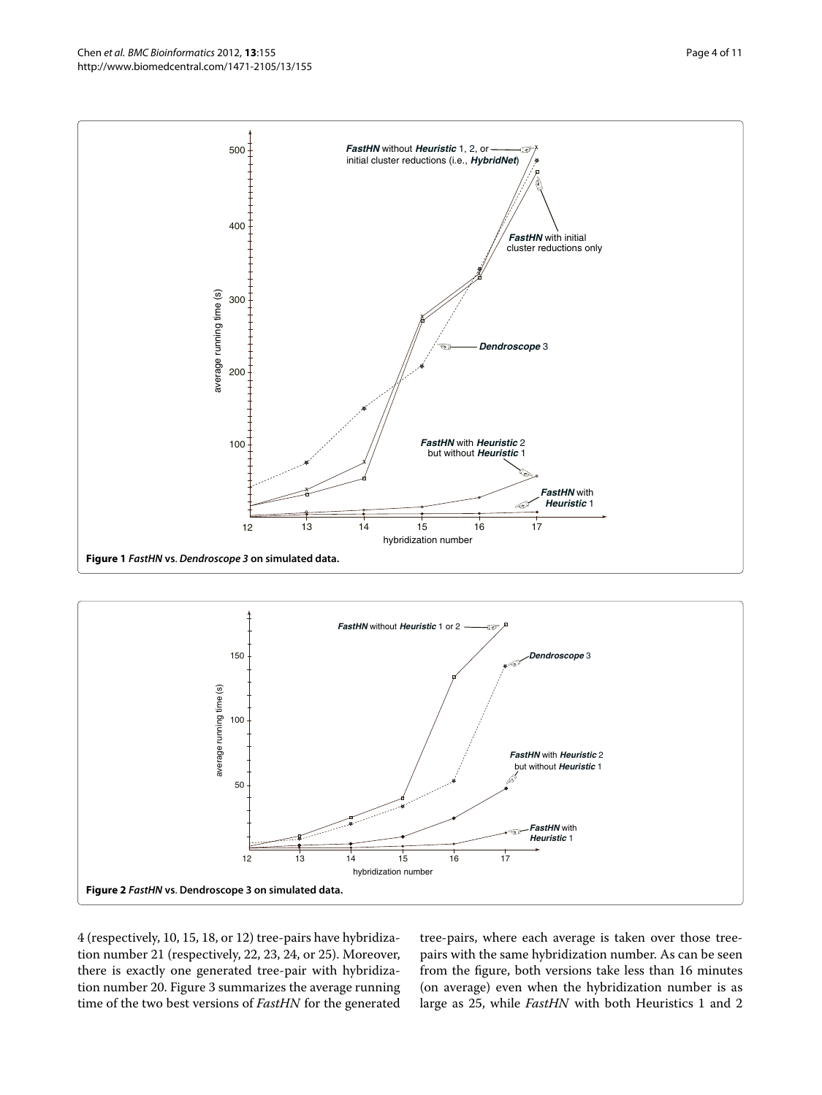Chen *et al. BMC Bioinformatics* 2012, **13**:155 Page 4 of 11 http://www.biomedcentral.com/1471-2105/13/155



<span id="page-3-0"></span>

<span id="page-3-1"></span>4 (respectively, 10, 15, 18, or 12) tree-pairs have hybridization number 21 (respectively, 22, 23, 24, or 25). Moreover, there is exactly one generated tree-pair with hybridization number 20. Figure [3](#page-4-0) summarizes the average running time of the two best versions of *FastHN* for the generated tree-pairs, where each average is taken over those treepairs with the same hybridization number. As can be seen from the figure, both versions take less than 16 minutes (on average) even when the hybridization number is as large as 25, while *FastHN* with both Heuristics 1 and 2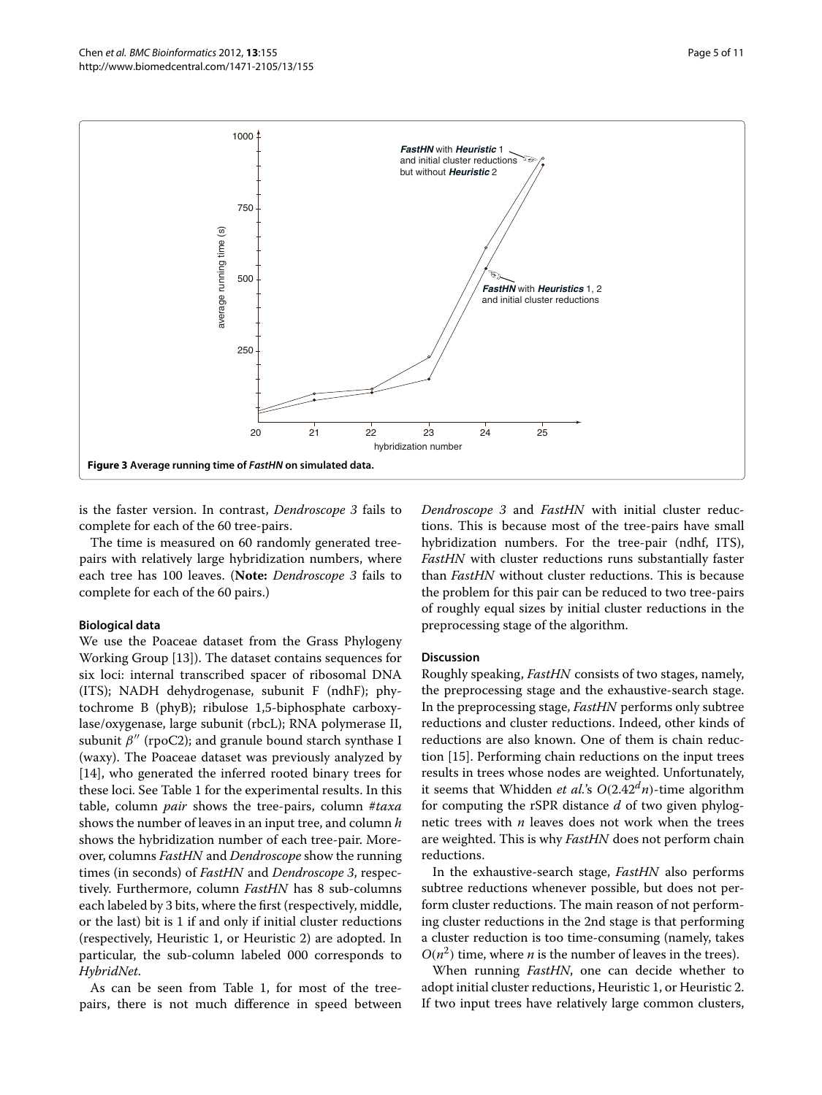

<span id="page-4-0"></span>is the faster version. In contrast, *Dendroscope 3* fails to complete for each of the 60 tree-pairs.

The time is measured on 60 randomly generated treepairs with relatively large hybridization numbers, where each tree has 100 leaves. (**Note:** *Dendroscope 3* fails to complete for each of the 60 pairs.)

#### **Biological data**

We use the Poaceae dataset from the Grass Phylogeny Working Group [\[13\]](#page-10-4)). The dataset contains sequences for six loci: internal transcribed spacer of ribosomal DNA (ITS); NADH dehydrogenase, subunit F (ndhF); phytochrome B (phyB); ribulose 1,5-biphosphate carboxylase/oxygenase, large subunit (rbcL); RNA polymerase II, subunit  $\beta''$  (rpoC2); and granule bound starch synthase I (waxy). The Poaceae dataset was previously analyzed by [\[14\]](#page-10-5), who generated the inferred rooted binary trees for these loci. See Table [1](#page-5-0) for the experimental results. In this table, column *pair* shows the tree-pairs, column #*taxa* shows the number of leaves in an input tree, and column *h* shows the hybridization number of each tree-pair. Moreover, columns *FastHN* and *Dendroscope* show the running times (in seconds) of *FastHN* and *Dendroscope 3*, respectively. Furthermore, column *FastHN* has 8 sub-columns each labeled by 3 bits, where the first (respectively, middle, or the last) bit is 1 if and only if initial cluster reductions (respectively, Heuristic 1, or Heuristic 2) are adopted. In particular, the sub-column labeled 000 corresponds to *HybridNet*.

As can be seen from Table [1,](#page-5-0) for most of the treepairs, there is not much difference in speed between *Dendroscope 3* and *FastHN* with initial cluster reductions. This is because most of the tree-pairs have small hybridization numbers. For the tree-pair (ndhf, ITS), *FastHN* with cluster reductions runs substantially faster than *FastHN* without cluster reductions. This is because the problem for this pair can be reduced to two tree-pairs of roughly equal sizes by initial cluster reductions in the preprocessing stage of the algorithm.

#### **Discussion**

Roughly speaking, *FastHN* consists of two stages, namely, the preprocessing stage and the exhaustive-search stage. In the preprocessing stage, *FastHN* performs only subtree reductions and cluster reductions. Indeed, other kinds of reductions are also known. One of them is chain reduction [\[15\]](#page-10-6). Performing chain reductions on the input trees results in trees whose nodes are weighted. Unfortunately, it seems that Whidden *et al.*'s  $O(2.42<sup>d</sup>n)$ -time algorithm for computing the rSPR distance *d* of two given phylognetic trees with *n* leaves does not work when the trees are weighted. This is why *FastHN* does not perform chain reductions.

In the exhaustive-search stage, *FastHN* also performs subtree reductions whenever possible, but does not perform cluster reductions. The main reason of not performing cluster reductions in the 2nd stage is that performing a cluster reduction is too time-consuming (namely, takes  $O(n^2)$  time, where *n* is the number of leaves in the trees).

When running *FastHN*, one can decide whether to adopt initial cluster reductions, Heuristic 1, or Heuristic 2. If two input trees have relatively large common clusters,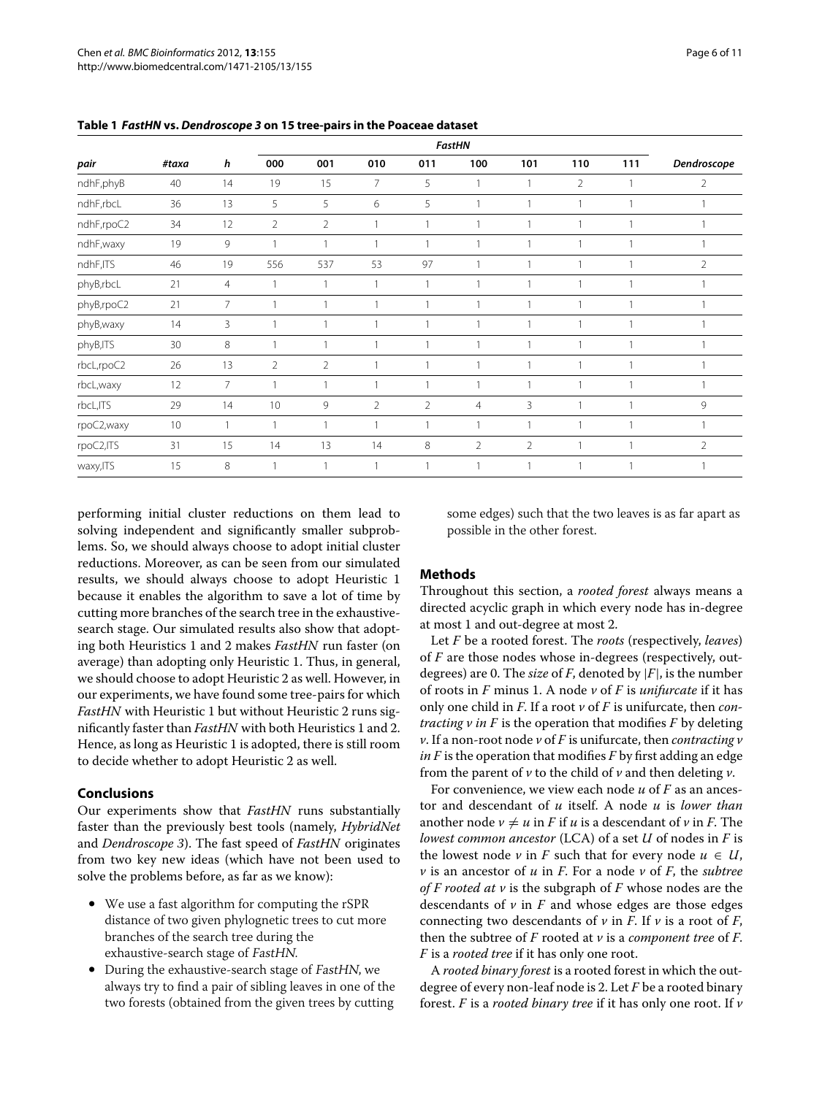| pair        | #taxa | h              | <b>FastHN</b>  |                |                |                |                |                |              |     |                |
|-------------|-------|----------------|----------------|----------------|----------------|----------------|----------------|----------------|--------------|-----|----------------|
|             |       |                | 000            | 001            | 010            | 011            | 100            | 101            | 110          | 111 | Dendroscope    |
| ndhF,phyB   | 40    | 14             | 19             | 15             | 7              | 5              | $\mathbf{1}$   |                | 2            |     | 2              |
| ndhF,rbcL   | 36    | 13             | 5              | 5              | 6              | 5              |                |                | $\mathbf{1}$ |     |                |
| ndhF,rpoC2  | 34    | 12             | $\overline{2}$ | $\overline{2}$ |                |                |                |                | 1            |     |                |
| ndhF,waxy   | 19    | 9              |                |                | 1              |                |                |                | $\mathbf{1}$ | 1   |                |
| ndhF,ITS    | 46    | 19             | 556            | 537            | 53             | 97             |                |                | $\mathbf{1}$ | 1   | $\overline{2}$ |
| phyB,rbcL   | 21    | 4              |                |                | 1              |                |                |                | 1            |     |                |
| phyB,rpoC2  | 21    | $\overline{7}$ |                |                |                |                |                |                | 1            |     |                |
| phyB,waxy   | 14    | 3              |                |                |                |                |                |                | 1            |     |                |
| phyB, ITS   | 30    | 8              |                |                | 1              |                |                |                | $\mathbf{1}$ |     |                |
| rbcL,rpoC2  | 26    | 13             | $\overline{2}$ | $\overline{2}$ | 1              |                |                |                | 1            |     |                |
| rbcL,waxy   | 12    | $\overline{7}$ |                |                |                |                |                |                | 1            |     |                |
| rbcL,ITS    | 29    | 14             | 10             | 9              | $\overline{2}$ | $\overline{2}$ | 4              | 3              | 1            |     | 9              |
| rpoC2, waxy | 10    |                | -1             |                | 1              |                | $\mathbf{1}$   |                | $\mathbf{1}$ |     |                |
| rpoC2, ITS  | 31    | 15             | 14             | 13             | 14             | 8              | $\overline{2}$ | $\overline{2}$ | $\mathbf{1}$ | 1   | $\overline{2}$ |
| waxy, ITS   | 15    | 8              |                |                | 1              |                |                |                | $\mathbf{1}$ |     |                |

<span id="page-5-0"></span>**Table 1** *FastHN* **vs.** *Dendroscope 3* **on 15 tree-pairs in the Poaceae dataset**

performing initial cluster reductions on them lead to solving independent and significantly smaller subproblems. So, we should always choose to adopt initial cluster reductions. Moreover, as can be seen from our simulated results, we should always choose to adopt Heuristic 1 because it enables the algorithm to save a lot of time by cutting more branches of the search tree in the exhaustivesearch stage. Our simulated results also show that adopting both Heuristics 1 and 2 makes *FastHN* run faster (on average) than adopting only Heuristic 1. Thus, in general, we should choose to adopt Heuristic 2 as well. However, in our experiments, we have found some tree-pairs for which *FastHN* with Heuristic 1 but without Heuristic 2 runs significantly faster than *FastHN* with both Heuristics 1 and 2. Hence, as long as Heuristic 1 is adopted, there is still room to decide whether to adopt Heuristic 2 as well.

## **Conclusions**

Our experiments show that *FastHN* runs substantially faster than the previously best tools (namely, *HybridNet* and *Dendroscope 3*). The fast speed of *FastHN* originates from two key new ideas (which have not been used to solve the problems before, as far as we know):

- We use a fast algorithm for computing the rSPR distance of two given phylognetic trees to cut more branches of the search tree during the exhaustive-search stage of FastHN.
- During the exhaustive-search stage of FastHN, we always try to find a pair of sibling leaves in one of the two forests (obtained from the given trees by cutting

some edges) such that the two leaves is as far apart as possible in the other forest.

## **Methods**

Throughout this section, a *rooted forest* always means a directed acyclic graph in which every node has in-degree at most 1 and out-degree at most 2.

Let *F* be a rooted forest. The *roots* (respectively, *leaves*) of *F* are those nodes whose in-degrees (respectively, outdegrees) are 0. The *size* of *F*, denoted by |*F*|, is the number of roots in *F* minus 1. A node *v* of *F* is *unifurcate* if it has only one child in *F*. If a root *v* of *F* is unifurcate, then *contracting v in F* is the operation that modifies *F* by deleting *v*. If a non-root node *v* of *F* is unifurcate, then *contracting v in F* is the operation that modifies *F* by first adding an edge from the parent of *v* to the child of *v* and then deleting *v*.

For convenience, we view each node *u* of *F* as an ancestor and descendant of *u* itself. A node *u* is *lower than* another node  $v \neq u$  in *F* if *u* is a descendant of *v* in *F*. The *lowest common ancestor* (LCA) of a set *U* of nodes in *F* is the lowest node  $\nu$  in *F* such that for every node  $u \in U$ , *v* is an ancestor of *u* in *F*. For a node *v* of *F*, the *subtree of F rooted at v* is the subgraph of *F* whose nodes are the descendants of  $\nu$  in  $F$  and whose edges are those edges connecting two descendants of  $\nu$  in *F*. If  $\nu$  is a root of *F*, then the subtree of *F* rooted at *v* is a *component tree* of *F*. *F* is a *rooted tree* if it has only one root.

A *rooted binary forest* is a rooted forest in which the outdegree of every non-leaf node is 2. Let *F* be a rooted binary forest. *F* is a *rooted binary tree* if it has only one root. If *v*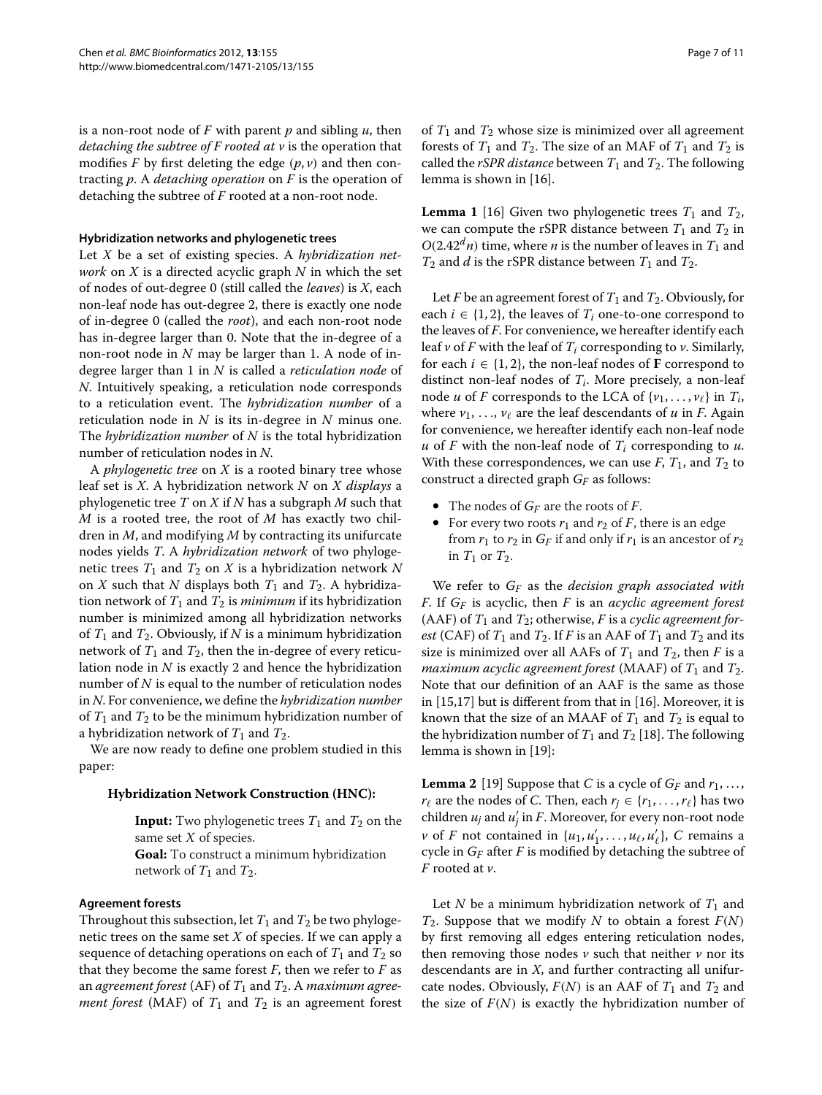is a non-root node of *F* with parent *p* and sibling *u*, then *detaching the subtree of F rooted at v* is the operation that modifies *F* by first deleting the edge  $(p, v)$  and then contracting *p*. A *detaching operation* on *F* is the operation of detaching the subtree of *F* rooted at a non-root node.

#### **Hybridization networks and phylogenetic trees**

Let *X* be a set of existing species. A *hybridization network* on *X* is a directed acyclic graph *N* in which the set of nodes of out-degree 0 (still called the *leaves*) is *X*, each non-leaf node has out-degree 2, there is exactly one node of in-degree 0 (called the *root*), and each non-root node has in-degree larger than 0. Note that the in-degree of a non-root node in *N* may be larger than 1. A node of indegree larger than 1 in *N* is called a *reticulation node* of *N*. Intuitively speaking, a reticulation node corresponds to a reticulation event. The *hybridization number* of a reticulation node in *N* is its in-degree in *N* minus one. The *hybridization number* of *N* is the total hybridization number of reticulation nodes in *N*.

A *phylogenetic tree* on *X* is a rooted binary tree whose leaf set is *X*. A hybridization network *N* on *X displays* a phylogenetic tree *T* on *X* if *N* has a subgraph *M* such that *M* is a rooted tree, the root of *M* has exactly two children in *M*, and modifying *M* by contracting its unifurcate nodes yields *T*. A *hybridization network* of two phylogenetic trees  $T_1$  and  $T_2$  on  $X$  is a hybridization network  $N$ on *X* such that *N* displays both  $T_1$  and  $T_2$ . A hybridization network of  $T_1$  and  $T_2$  is *minimum* if its hybridization number is minimized among all hybridization networks of  $T_1$  and  $T_2$ . Obviously, if N is a minimum hybridization network of  $T_1$  and  $T_2$ , then the in-degree of every reticulation node in *N* is exactly 2 and hence the hybridization number of *N* is equal to the number of reticulation nodes in *N*. For convenience, we define the *hybridization number* of  $T_1$  and  $T_2$  to be the minimum hybridization number of a hybridization network of  $T_1$  and  $T_2$ .

We are now ready to define one problem studied in this paper:

## **Hybridization Network Construction (HNC):**

**Input:** Two phylogenetic trees  $T_1$  and  $T_2$  on the same set  $X$  of species.

**Goal:** To construct a minimum hybridization network of  $T_1$  and  $T_2$ .

#### **Agreement forests**

Throughout this subsection, let  $T_1$  and  $T_2$  be two phylogenetic trees on the same set *X* of species. If we can apply a sequence of detaching operations on each of  $T_1$  and  $T_2$  so that they become the same forest  $F$ , then we refer to  $F$  as an *agreement forest* (AF) of *T*<sup>1</sup> and *T*2. A *maximum agreement forest* (MAF) of  $T_1$  and  $T_2$  is an agreement forest of *T*<sup>1</sup> and *T*<sup>2</sup> whose size is minimized over all agreement forests of  $T_1$  and  $T_2$ . The size of an MAF of  $T_1$  and  $T_2$  is called the  $rSPR$  distance between  $T_1$  and  $T_2$ . The following lemma is shown in [\[16\]](#page-10-7).

<span id="page-6-0"></span>**Lemma 1** [\[16\]](#page-10-7) Given two phylogenetic trees  $T_1$  and  $T_2$ , we can compute the rSPR distance between  $T_1$  and  $T_2$  in  $O(2.42<sup>d</sup>n)$  time, where *n* is the number of leaves in  $T_1$  and  $T_2$  and *d* is the rSPR distance between  $T_1$  and  $T_2$ .

Let *F* be an agreement forest of  $T_1$  and  $T_2$ . Obviously, for each  $i \in \{1, 2\}$ , the leaves of  $T_i$  one-to-one correspond to the leaves of *F*. For convenience, we hereafter identify each leaf  $\nu$  of  $F$  with the leaf of  $T_i$  corresponding to  $\nu$ . Similarly, for each  $i \in \{1, 2\}$ , the non-leaf nodes of **F** correspond to distinct non-leaf nodes of *Ti*. More precisely, a non-leaf node *u* of *F* corresponds to the LCA of  $\{v_1, \ldots, v_\ell\}$  in  $T_i$ , where  $v_1, \ldots, v_\ell$  are the leaf descendants of *u* in *F*. Again for convenience, we hereafter identify each non-leaf node  $u$  of *F* with the non-leaf node of  $T_i$  corresponding to  $u$ . With these correspondences, we can use  $F$ ,  $T_1$ , and  $T_2$  to construct a directed graph *G<sub>F</sub>* as follows:

- The nodes of *GF* are the roots of *F*.
- For every two roots  $r_1$  and  $r_2$  of F, there is an edge from  $r_1$  to  $r_2$  in  $G_F$  if and only if  $r_1$  is an ancestor of  $r_2$ in  $T_1$  or  $T_2$ .

We refer to *GF* as the *decision graph associated with F*. If *GF* is acyclic, then *F* is an *acyclic agreement forest* (AAF) of  $T_1$  and  $T_2$ ; otherwise,  $F$  is a *cyclic agreement forest* (CAF) of  $T_1$  and  $T_2$ . If *F* is an AAF of  $T_1$  and  $T_2$  and its size is minimized over all AAFs of  $T_1$  and  $T_2$ , then  $F$  is a *maximum acyclic agreement forest* (MAAF) of  $T_1$  and  $T_2$ . Note that our definition of an AAF is the same as those in [\[15,](#page-10-6)[17\]](#page-10-8) but is different from that in [\[16\]](#page-10-7). Moreover, it is known that the size of an MAAF of  $T_1$  and  $T_2$  is equal to the hybridization number of  $T_1$  and  $T_2$  [\[18\]](#page-10-9). The following lemma is shown in [\[19\]](#page-10-10):

<span id="page-6-1"></span>**Lemma 2** [\[19\]](#page-10-10) Suppose that *C* is a cycle of  $G_F$  and  $r_1$ , ..., *r*<sub> $\ell$ </sub> are the nodes of *C*. Then, each  $r_j \in \{r_1, \ldots, r_\ell\}$  has two children  $u_j$  and  $u'_j$  in  $F.$  Moreover, for every non-root node *v* of *F* not contained in  $\{u_1, u'_1, \ldots, u_\ell, u'_\ell\}$ , *C* remains a cycle in *GF* after *F* is modified by detaching the subtree of *F* rooted at *v*.

Let *N* be a minimum hybridization network of  $T_1$  and *T*<sub>2</sub>. Suppose that we modify *N* to obtain a forest  $F(N)$ by first removing all edges entering reticulation nodes, then removing those nodes  $\nu$  such that neither  $\nu$  nor its descendants are in *X*, and further contracting all unifurcate nodes. Obviously,  $F(N)$  is an AAF of  $T_1$  and  $T_2$  and the size of  $F(N)$  is exactly the hybridization number of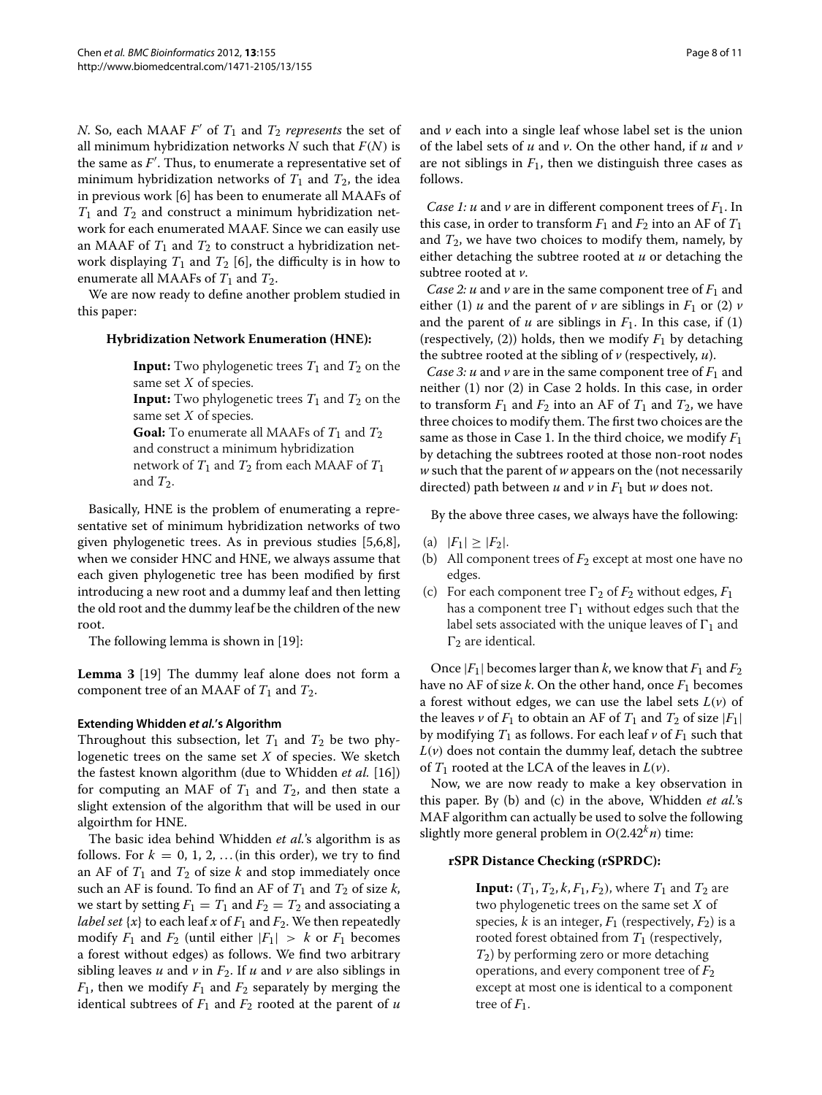*N*. So, each MAAF  $F'$  of  $T_1$  and  $T_2$  *represents* the set of all minimum hybridization networks *N* such that *F(N)* is the same as  $F^\prime.$  Thus, to enumerate a representative set of minimum hybridization networks of  $T_1$  and  $T_2$ , the idea in previous work [\[6\]](#page-9-3) has been to enumerate all MAAFs of  $T_1$  and  $T_2$  and construct a minimum hybridization network for each enumerated MAAF. Since we can easily use an MAAF of  $T_1$  and  $T_2$  to construct a hybridization network displaying  $T_1$  and  $T_2$  [\[6\]](#page-9-3), the difficulty is in how to enumerate all MAAFs of  $T_1$  and  $T_2$ .

We are now ready to define another problem studied in this paper:

#### **Hybridization Network Enumeration (HNE):**

**Input:** Two phylogenetic trees  $T_1$  and  $T_2$  on the same set  $X$  of species.

**Input:** Two phylogenetic trees  $T_1$  and  $T_2$  on the same set <sup>X</sup> of species.

**Goal:** To enumerate all MAAFs of *T*<sup>1</sup> and *T*<sup>2</sup> and construct a minimum hybridization network of *T*<sup>1</sup> and *T*<sup>2</sup> from each MAAF of *T*<sup>1</sup> and  $T_2$ .

Basically, HNE is the problem of enumerating a representative set of minimum hybridization networks of two given phylogenetic trees. As in previous studies [\[5,](#page-9-4)[6](#page-9-3)[,8\]](#page-9-5), when we consider HNC and HNE, we always assume that each given phylogenetic tree has been modified by first introducing a new root and a dummy leaf and then letting the old root and the dummy leaf be the children of the new root.

The following lemma is shown in [\[19\]](#page-10-10):

<span id="page-7-1"></span>**Lemma 3** [\[19\]](#page-10-10) The dummy leaf alone does not form a component tree of an MAAF of  $T_1$  and  $T_2$ .

## <span id="page-7-0"></span>**Extending Whidden** *et al.***'s Algorithm**

Throughout this subsection, let  $T_1$  and  $T_2$  be two phylogenetic trees on the same set *X* of species. We sketch the fastest known algorithm (due to Whidden *et al.* [\[16\]](#page-10-7)) for computing an MAF of  $T_1$  and  $T_2$ , and then state a slight extension of the algorithm that will be used in our algoirthm for HNE.

The basic idea behind Whidden *et al.*'s algorithm is as follows. For  $k = 0, 1, 2, \dots$  (in this order), we try to find an AF of  $T_1$  and  $T_2$  of size  $k$  and stop immediately once such an AF is found. To find an AF of  $T_1$  and  $T_2$  of size  $k$ , we start by setting  $F_1 = T_1$  and  $F_2 = T_2$  and associating a *label set*  $\{x\}$  to each leaf *x* of  $F_1$  and  $F_2$ . We then repeatedly modify  $F_1$  and  $F_2$  (until either  $|F_1| > k$  or  $F_1$  becomes a forest without edges) as follows. We find two arbitrary sibling leaves  $u$  and  $v$  in  $F_2$ . If  $u$  and  $v$  are also siblings in  $F_1$ , then we modify  $F_1$  and  $F_2$  separately by merging the identical subtrees of  $F_1$  and  $F_2$  rooted at the parent of *u* 

and *v* each into a single leaf whose label set is the union of the label sets of *u* and *v*. On the other hand, if *u* and *v* are not siblings in  $F_1$ , then we distinguish three cases as follows.

*Case 1: u* and *v* are in different component trees of  $F_1$ . In this case, in order to transform  $F_1$  and  $F_2$  into an AF of  $T_1$ and  $T_2$ , we have two choices to modify them, namely, by either detaching the subtree rooted at *u* or detaching the subtree rooted at *v*.

*Case 2: u* and *v* are in the same component tree of  $F_1$  and either (1) *u* and the parent of *v* are siblings in  $F_1$  or (2) *v* and the parent of *u* are siblings in  $F_1$ . In this case, if (1) (respectively, (2)) holds, then we modify  $F_1$  by detaching the subtree rooted at the sibling of  $\nu$  (respectively,  $u$ ).

*Case 3: u* and *v* are in the same component tree of  $F_1$  and neither (1) nor (2) in Case 2 holds. In this case, in order to transform  $F_1$  and  $F_2$  into an AF of  $T_1$  and  $T_2$ , we have three choices to modify them. The first two choices are the same as those in Case 1. In the third choice, we modify *F*<sup>1</sup> by detaching the subtrees rooted at those non-root nodes *w* such that the parent of *w* appears on the (not necessarily directed) path between  $u$  and  $v$  in  $F_1$  but  $w$  does not.

By the above three cases, we always have the following:

- (a)  $|F_1| \geq |F_2|$ .
- (b) All component trees of *F*<sup>2</sup> except at most one have no edges.
- (c) For each component tree  $\Gamma_2$  of  $F_2$  without edges,  $F_1$ has a component tree  $\Gamma_1$  without edges such that the label sets associated with the unique leaves of  $\Gamma_1$  and  $\Gamma_2$  are identical.

Once  $|F_1|$  becomes larger than *k*, we know that  $F_1$  and  $F_2$ have no AF of size *k*. On the other hand, once *F*<sup>1</sup> becomes a forest without edges, we can use the label sets  $L(\nu)$  of the leaves  $\nu$  of  $F_1$  to obtain an AF of  $T_1$  and  $T_2$  of size  $|F_1|$ by modifying  $T_1$  as follows. For each leaf  $\nu$  of  $F_1$  such that  $L(v)$  does not contain the dummy leaf, detach the subtree of  $T_1$  rooted at the LCA of the leaves in  $L(\nu)$ .

Now, we are now ready to make a key observation in this paper. By (b) and (c) in the above, Whidden *et al.*'s MAF algorithm can actually be used to solve the following slightly more general problem in  $O(2.42<sup>k</sup>n)$  time:

## **rSPR Distance Checking (rSPRDC):**

**Input:**  $(T_1, T_2, k, F_1, F_2)$ , where  $T_1$  and  $T_2$  are two phylogenetic trees on the same set  $X$  of species,  $k$  is an integer,  $F_1$  (respectively,  $F_2$ ) is a rooted forest obtained from *T*<sup>1</sup> (respectively, *T*2) by performing zero or more detaching operations, and every component tree of  $F_2$ except at most one is identical to a component tree of *F*1.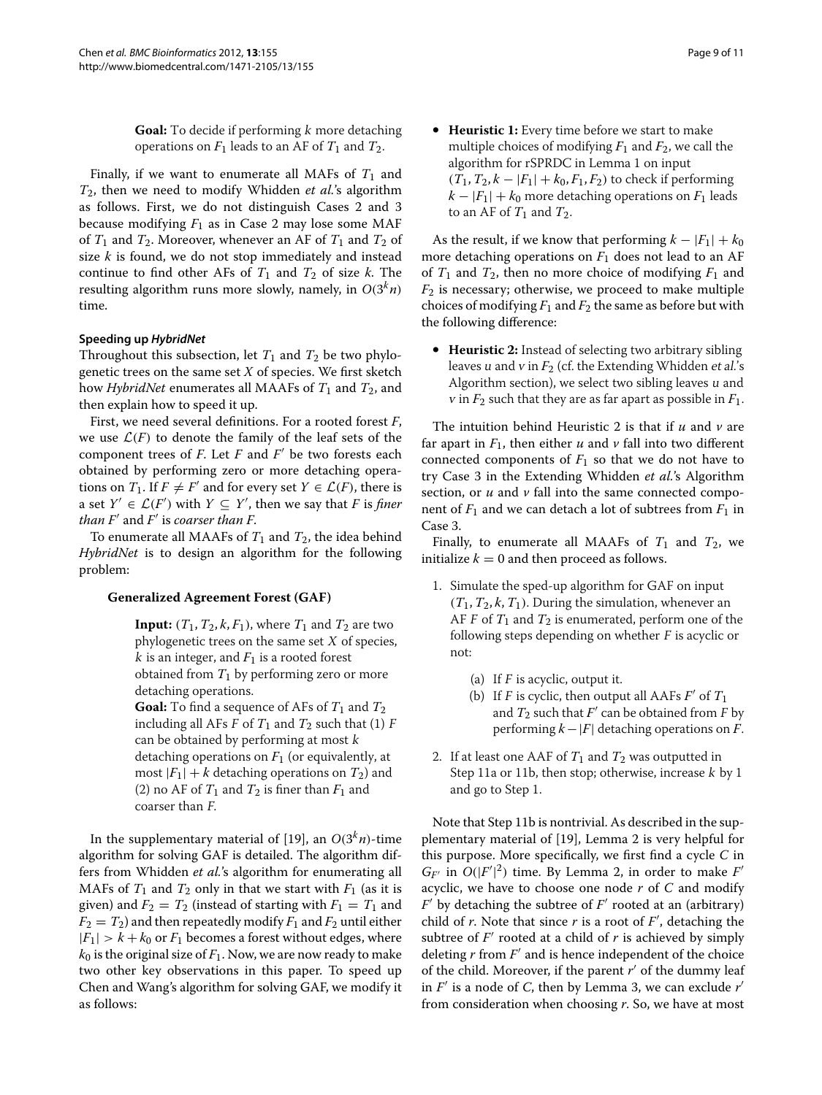**Goal:** To decide if performing k more detaching operations on  $F_1$  leads to an AF of  $T_1$  and  $T_2$ .

Finally, if we want to enumerate all MAFs of  $T_1$  and *T*2, then we need to modify Whidden *et al.*'s algorithm as follows. First, we do not distinguish Cases 2 and 3 because modifying  $F_1$  as in Case 2 may lose some MAF of  $T_1$  and  $T_2$ . Moreover, whenever an AF of  $T_1$  and  $T_2$  of size *k* is found, we do not stop immediately and instead continue to find other AFs of  $T_1$  and  $T_2$  of size *k*. The resulting algorithm runs more slowly, namely, in  $O(3<sup>k</sup>n)$ time.

## **Speeding up** *HybridNet*

Throughout this subsection, let  $T_1$  and  $T_2$  be two phylogenetic trees on the same set *X* of species. We first sketch how *HybridNet* enumerates all MAAFs of *T*<sup>1</sup> and *T*2, and then explain how to speed it up.

First, we need several definitions. For a rooted forest *F*, we use  $\mathcal{L}(F)$  to denote the family of the leaf sets of the component trees of  $F$ . Let  $F$  and  $F'$  be two forests each obtained by performing zero or more detaching operations on *T*<sub>1</sub>. If *F*  $\neq$  *F'* and for every set *Y*  $\in$  *L*(*F*), there is a set  $Y' \in \mathcal{L}(F')$  with  $Y \subseteq Y'$ , then we say that *F* is *finer than F*- and *F*- is *coarser than F*.

To enumerate all MAAFs of  $T_1$  and  $T_2$ , the idea behind *HybridNet* is to design an algorithm for the following problem:

## **Generalized Agreement Forest (GAF)**

**Input:**  $(T_1, T_2, k, F_1)$ , where  $T_1$  and  $T_2$  are two phylogenetic trees on the same set  $X$  of species,  $k$  is an integer, and  $F_1$  is a rooted forest obtained from  $T_1$  by performing zero or more detaching operations. **Goal:** To find a sequence of AFs of *T*<sup>1</sup> and *T*<sup>2</sup> including all AFs  $F$  of  $T_1$  and  $T_2$  such that (1)  $F$ can be obtained by performing at most k detaching operations on  $F_1$  (or equivalently, at most  $|F_1| + k$  detaching operations on  $T_2$ ) and

(2) no AF of  $T_1$  and  $T_2$  is finer than  $F_1$  and coarser than <sup>F</sup>.

In the supplementary material of [\[19\]](#page-10-10), an  $O(3<sup>k</sup>n)$ -time algorithm for solving GAF is detailed. The algorithm differs from Whidden *et al.*'s algorithm for enumerating all MAFs of  $T_1$  and  $T_2$  only in that we start with  $F_1$  (as it is given) and  $F_2 = T_2$  (instead of starting with  $F_1 = T_1$  and  $F_2 = T_2$ ) and then repeatedly modify  $F_1$  and  $F_2$  until either  $|F_1| > k + k_0$  or  $F_1$  becomes a forest without edges, where  $k_0$  is the original size of  $F_1$ . Now, we are now ready to make two other key observations in this paper. To speed up Chen and Wang's algorithm for solving GAF, we modify it as follows:

**Heuristic 1:** Every time before we start to make multiple choices of modifying  $F_1$  and  $F_2$ , we call the algorithm for rSPRDC in Lemma [1](#page-6-0) on input  $(T_1, T_2, k − |F_1| + k_0, F_1, F_2)$  to check if performing  $k - |F_1| + k_0$  more detaching operations on  $F_1$  leads to an AF of  $T_1$  and  $T_2$ .

As the result, if we know that performing  $k - |F_1| + k_0$ more detaching operations on *F*<sup>1</sup> does not lead to an AF of  $T_1$  and  $T_2$ , then no more choice of modifying  $F_1$  and  $F_2$  is necessary; otherwise, we proceed to make multiple choices of modifying  $F_1$  and  $F_2$  the same as before but with the following difference:

• **Heuristic 2:** Instead of selecting two arbitrary sibling leaves u and v in  $F_2$  $F_2$  (cf. the Extending Whidden et al.'s Algorithm section), we select two sibling leaves <sup>u</sup> and v in  $F_2$  such that they are as far apart as possible in  $F_1$ .

The intuition behind Heuristic 2 is that if *u* and *v* are far apart in  $F_1$ , then either *u* and *v* fall into two different connected components of  $F_1$  so that we do not have to try Case 3 in the [Extending Whidden](#page-7-0) *et al.*'s Algorithm section, or *u* and *v* fall into the same connected component of  $F_1$  and we can detach a lot of subtrees from  $F_1$  in Case 3.

Finally, to enumerate all MAAFs of  $T_1$  and  $T_2$ , we initialize  $k = 0$  and then proceed as follows.

- <span id="page-8-2"></span><span id="page-8-0"></span>1. Simulate the sped-up algorithm for GAF on input  $(T_1, T_2, k, T_1)$ . During the simulation, whenever an AF  $F$  of  $T_1$  and  $T_2$  is enumerated, perform one of the following steps depending on whether  $F$  is acyclic or not:
	- (a) If  $F$  is acyclic, output it.
	- (b) If *F* is cyclic, then output all AAFs  $F'$  of  $T_1$ and  $T_2$  such that  $F^\prime$  can be obtained from  $F$  by performing *k*−|*F*| detaching operations on *F*.
- <span id="page-8-1"></span>2. If at least one AAF of  $T_1$  and  $T_2$  was outputted in Step [11a](#page-8-0) or [11b,](#page-8-1) then stop; otherwise, increase k by 1 and go to Step [1.](#page-8-2)

Note that Step [11b](#page-8-1) is nontrivial. As described in the supplementary material of [\[19\]](#page-10-10), Lemma [2](#page-6-1) is very helpful for this purpose. More specifically, we first find a cycle *C* in  $G_{F'}$  in  $O(|F'|^2)$  time. By Lemma [2,](#page-6-1) in order to make  $F'$ acyclic, we have to choose one node *r* of *C* and modify  $F'$  by detaching the subtree of  $F'$  rooted at an (arbitrary) child of  $r$ . Note that since  $r$  is a root of  $F'$ , detaching the subtree of F' rooted at a child of r is achieved by simply deleting  $r$  from  $F^\prime$  and is hence independent of the choice of the child. Moreover, if the parent *r'* of the dummy leaf in *F*- is a node of *C*, then by Lemma [3,](#page-7-1) we can exclude *r* from consideration when choosing *r*. So, we have at most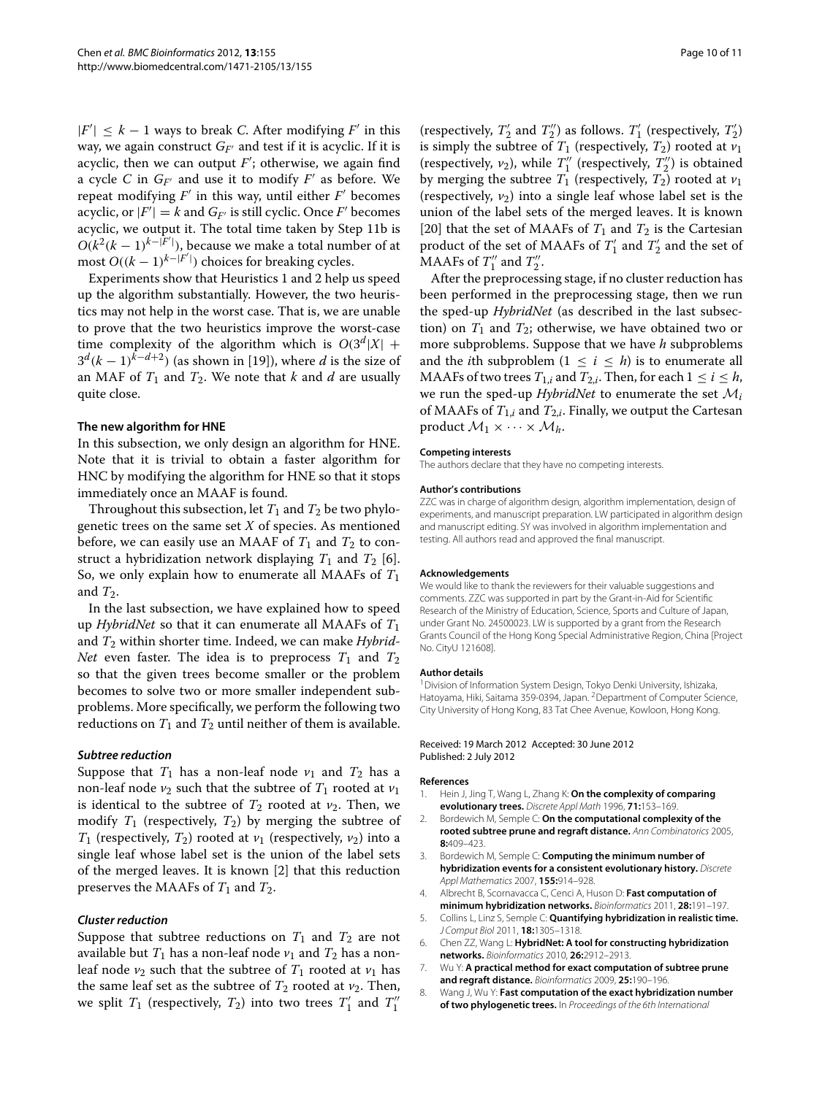$|F'| \leq k - 1$  ways to break *C*. After modifying  $F'$  in this way, we again construct  $G_{F^\prime}$  and test if it is acyclic. If it is acyclic, then we can output  $F'$ ; otherwise, we again find a cycle  $C$  in  $G_{F^\prime}$  and use it to modify  $F^\prime$  as before. We repeat modifying  $F'$  in this way, until either  $F'$  becomes acyclic, or  $|F'| = k$  and  $G_{F'}$  is still cyclic. Once  $F'$  becomes acyclic, we output it. The total time taken by Step [11b](#page-8-1) is  $O(k^2(k-1)^{k-|F'|})$ , because we make a total number of at most  $O((k-1)^{k-|F'|})$  choices for breaking cycles.

Experiments show that Heuristics 1 and 2 help us speed up the algorithm substantially. However, the two heuristics may not help in the worst case. That is, we are unable to prove that the two heuristics improve the worst-case time complexity of the algorithm which is  $O(3^d |X| +$  $3^d(k-1)^{k-d+2}$  (as shown in [\[19\]](#page-10-10)), where *d* is the size of an MAF of  $T_1$  and  $T_2$ . We note that  $k$  and  $d$  are usually quite close.

#### **The new algorithm for HNE**

In this subsection, we only design an algorithm for HNE. Note that it is trivial to obtain a faster algorithm for HNC by modifying the algorithm for HNE so that it stops immediately once an MAAF is found.

Throughout this subsection, let  $T_1$  and  $T_2$  be two phylogenetic trees on the same set *X* of species. As mentioned before, we can easily use an MAAF of  $T_1$  and  $T_2$  to construct a hybridization network displaying  $T_1$  and  $T_2$  [\[6\]](#page-9-3). So, we only explain how to enumerate all MAAFs of *T*<sup>1</sup> and  $T_2$ .

In the last subsection, we have explained how to speed up *HybridNet* so that it can enumerate all MAAFs of *T*<sup>1</sup> and  $T_2$  within shorter time. Indeed, we can make *Hybrid*-*Net* even faster. The idea is to preprocess  $T_1$  and  $T_2$ so that the given trees become smaller or the problem becomes to solve two or more smaller independent subproblems. More specifically, we perform the following two reductions on  $T_1$  and  $T_2$  until neither of them is available.

#### *Subtree reduction*

Suppose that  $T_1$  has a non-leaf node  $v_1$  and  $T_2$  has a non-leaf node  $v_2$  such that the subtree of  $T_1$  rooted at  $v_1$ is identical to the subtree of  $T_2$  rooted at  $v_2$ . Then, we modify  $T_1$  (respectively,  $T_2$ ) by merging the subtree of *T*<sub>1</sub> (respectively, *T*<sub>2</sub>) rooted at  $v_1$  (respectively,  $v_2$ ) into a single leaf whose label set is the union of the label sets of the merged leaves. It is known [\[2\]](#page-9-6) that this reduction preserves the MAAFs of  $T_1$  and  $T_2$ .

#### *Cluster reduction*

Suppose that subtree reductions on  $T_1$  and  $T_2$  are not available but  $T_1$  has a non-leaf node  $v_1$  and  $T_2$  has a nonleaf node  $v_2$  such that the subtree of  $T_1$  rooted at  $v_1$  has the same leaf set as the subtree of  $T_2$  rooted at  $v_2$ . Then, we split  $T_1$  (respectively,  $T_2$ ) into two trees  $T'_1$  and  $T''_1$ 

(respectively,  $T_2'$  and  $T_2''$ ) as follows.  $T_1'$  (respectively,  $T_2'$ ) is simply the subtree of  $T_1$  (respectively,  $T_2$ ) rooted at  $v_1$ (respectively,  $v_2$ ), while  $T_1''$  (respectively,  $T_2''$ ) is obtained by merging the subtree  $T_1$  (respectively,  $T_2$ ) rooted at  $v_1$ (respectively,  $v_2$ ) into a single leaf whose label set is the union of the label sets of the merged leaves. It is known [\[20\]](#page-10-11) that the set of MAAFs of  $T_1$  and  $T_2$  is the Cartesian product of the set of MAAFs of  $T_1'$  and  $T_2'$  and the set of MAAFs of  $T_1''$  and  $T_2''$ .

After the preprocessing stage, if no cluster reduction has been performed in the preprocessing stage, then we run the sped-up *HybridNet* (as described in the last subsection) on  $T_1$  and  $T_2$ ; otherwise, we have obtained two or more subproblems. Suppose that we have *h* subproblems and the *i*th subproblem  $(1 \le i \le h)$  is to enumerate all MAAFs of two trees  $T_{1,i}$  and  $T_{2,i}$ . Then, for each  $1 \le i \le h$ , we run the sped-up *HybridNet* to enumerate the set M*<sup>i</sup>* of MAAFs of  $T_{1,i}$  and  $T_{2,i}$ . Finally, we output the Cartesan product  $M_1 \times \cdots \times M_h$ .

#### **Competing interests**

The authors declare that they have no competing interests.

#### **Author's contributions**

ZZC was in charge of algorithm design, algorithm implementation, design of experiments, and manuscript preparation. LW participated in algorithm design and manuscript editing. SY was involved in algorithm implementation and testing. All authors read and approved the final manuscript.

#### **Acknowledgements**

We would like to thank the reviewers for their valuable suggestions and comments. ZZC was supported in part by the Grant-in-Aid for Scientific Research of the Ministry of Education, Science, Sports and Culture of Japan, under Grant No. 24500023. LW is supported by a grant from the Research Grants Council of the Hong Kong Special Administrative Region, China [Project No. CityU 121608].

#### **Author details**

<sup>1</sup> Division of Information System Design, Tokyo Denki University, Ishizaka, Hatoyama, Hiki, Saitama 359-0394, Japan. <sup>2</sup>Department of Computer Science, City University of Hong Kong, 83 Tat Chee Avenue, Kowloon, Hong Kong.

#### Received: 19 March 2012 Accepted: 30 June 2012 Published: 2 July 2012

#### **References**

- <span id="page-9-0"></span>1. Hein J, Jing T, Wang L, Zhang K: **On the complexity of comparing evolutionary trees.** Discrete Appl Math 1996, **71:**153–169.
- <span id="page-9-6"></span>2. Bordewich M, Semple C: **On the computational complexity of the rooted subtree prune and regraft distance.** Ann Combinatorics 2005, **8:**409–423.
- <span id="page-9-1"></span>3. Bordewich M, Semple C: **Computing the minimum number of hybridization events for a consistent evolutionary history.** Discrete Appl Mathematics 2007, **155:**914–928.
- <span id="page-9-2"></span>4. Albrecht B, Scornavacca C, Cenci A, Huson D: **Fast computation of minimum hybridization networks.** Bioinformatics 2011, **28:**191–197.
- <span id="page-9-4"></span>5. Collins L, Linz S, Semple C: **Quantifying hybridization in realistic time.** J Comput Biol 2011, **18:**1305–1318.
- <span id="page-9-3"></span>6. Chen ZZ, Wang L: **HybridNet: A tool for constructing hybridization networks.** Bioinformatics 2010, **26:**2912–2913.
- 7. Wu Y: **A practical method for exact computation of subtree prune and regraft distance.** Bioinformatics 2009, **25:**190–196.
- <span id="page-9-5"></span>8. Wang J, Wu Y: **Fast computation of the exact hybridization number of two phylogenetic trees.** In Proceedings of the 6th International